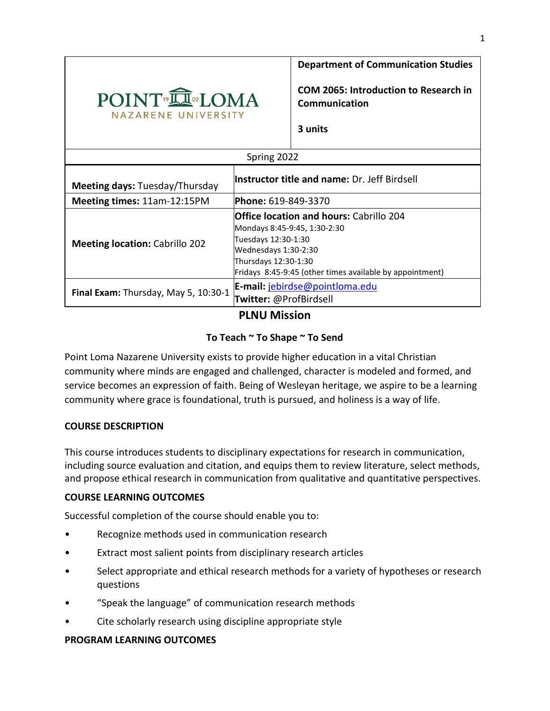

**Department of Communication Studies**

**COM 2065: Introduction to Research in Communication** 

**3 units**

| Spring 2022                           |                                                                                                                                                                                                                   |  |  |  |  |  |
|---------------------------------------|-------------------------------------------------------------------------------------------------------------------------------------------------------------------------------------------------------------------|--|--|--|--|--|
| <b>Meeting days: Tuesday/Thursday</b> | <b>Instructor title and name: Dr. Jeff Birdsell</b>                                                                                                                                                               |  |  |  |  |  |
| Meeting times: 11am-12:15PM           | <b>Phone: 619-849-3370</b>                                                                                                                                                                                        |  |  |  |  |  |
| <b>Meeting location: Cabrillo 202</b> | <b>Office location and hours: Cabrillo 204</b><br>Mondays 8:45-9:45, 1:30-2:30<br>Tuesdays 12:30-1:30<br>Wednesdays 1:30-2:30<br>Thursdays 12:30-1:30<br>Fridays 8:45-9:45 (other times available by appointment) |  |  |  |  |  |
| Final Exam: Thursday, May 5, 10:30-1  | E-mail: jebirdse@pointloma.edu<br>Twitter: @ProfBirdsell                                                                                                                                                          |  |  |  |  |  |

**PLNU Mission**

# **To Teach ~ To Shape ~ To Send**

Point Loma Nazarene University exists to provide higher education in a vital Christian community where minds are engaged and challenged, character is modeled and formed, and service becomes an expression of faith. Being of Wesleyan heritage, we aspire to be a learning community where grace is foundational, truth is pursued, and holiness is a way of life.

# **COURSE DESCRIPTION**

This course introduces students to disciplinary expectations for research in communication, including source evaluation and citation, and equips them to review literature, select methods, and propose ethical research in communication from qualitative and quantitative perspectives.

# **COURSE LEARNING OUTCOMES**

Successful completion of the course should enable you to:

- Recognize methods used in communication research
- Extract most salient points from disciplinary research articles
- Select appropriate and ethical research methods for a variety of hypotheses or research questions
- "Speak the language" of communication research methods
- Cite scholarly research using discipline appropriate style

### **PROGRAM LEARNING OUTCOMES**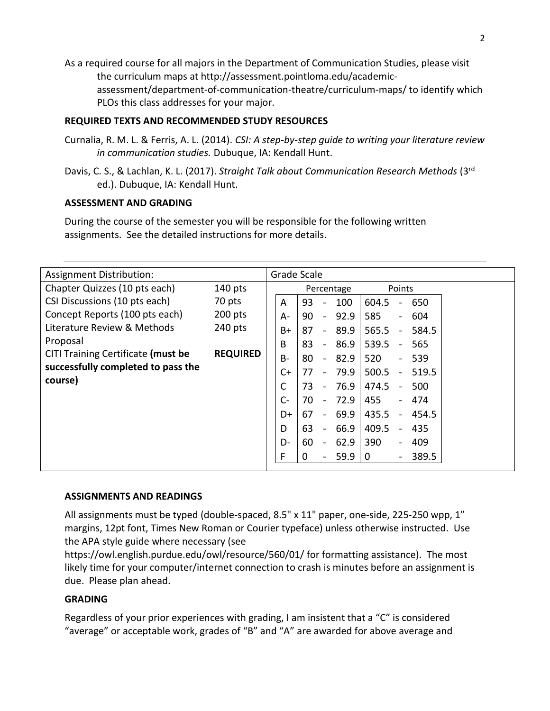As a required course for all majors in the Department of Communication Studies, please visit the curriculum maps at http://assessment.pointloma.edu/academicassessment/department-of-communication-theatre/curriculum-maps/ to identify which PLOs this class addresses for your major.

### **REQUIRED TEXTS AND RECOMMENDED STUDY RESOURCES**

- Curnalia, R. M. L. & Ferris, A. L. (2014). *CSI: A step-by-step guide to writing your literature review in communication studies.* Dubuque, IA: Kendall Hunt.
- Davis, C. S., & Lachlan, K. L. (2017). *Straight Talk about Communication Research Methods* (3rd ed.). Dubuque, IA: Kendall Hunt.

### **ASSESSMENT AND GRADING**

During the course of the semester you will be responsible for the following written assignments. See the detailed instructions for more details.

| Assignment Distribution:                                                             |                 | Grade Scale |    |                          |            |              |                          |       |  |
|--------------------------------------------------------------------------------------|-----------------|-------------|----|--------------------------|------------|--------------|--------------------------|-------|--|
| Chapter Quizzes (10 pts each)                                                        | $140$ pts       |             |    |                          | Percentage |              | Points                   |       |  |
| CSI Discussions (10 pts each)                                                        | 70 pts          | A           | 93 |                          | 100        | 604.5        |                          | 650   |  |
| Concept Reports (100 pts each)                                                       | $200$ pts       | $A -$       | 90 | $\overline{\phantom{a}}$ | 92.9       | 585          | $\overline{\phantom{a}}$ | 604   |  |
| Literature Review & Methods                                                          | 240 pts         | $B+$        | 87 | $\blacksquare$           | 89.9       | 565.5        | $\blacksquare$           | 584.5 |  |
| Proposal<br>CITI Training Certificate (must be<br>successfully completed to pass the | <b>REQUIRED</b> | B           | 83 | $\blacksquare$           | 86.9       | 539.5        | $\blacksquare$           | 565   |  |
|                                                                                      |                 | <b>B-</b>   | 80 | $\blacksquare$           | 82.9       | 520          | $\blacksquare$           | 539   |  |
|                                                                                      |                 | $C+$        | 77 | $\overline{\phantom{a}}$ | 79.9       | 500.5        | $\blacksquare$           | 519.5 |  |
| course)                                                                              |                 | C           | 73 | $\overline{\phantom{a}}$ | 76.9       | 474.5        | $\blacksquare$           | 500   |  |
|                                                                                      |                 | $C -$       | 70 | $\blacksquare$           | 72.9       | 455          | $\blacksquare$           | 474   |  |
|                                                                                      |                 | D+          | 67 | $\overline{\phantom{a}}$ | 69.9       | 435.5        | $\blacksquare$           | 454.5 |  |
|                                                                                      |                 | D           | 63 | $\blacksquare$           | 66.9       | 409.5        | $\blacksquare$           | 435   |  |
|                                                                                      |                 | D-          | 60 | $\blacksquare$           | 62.9       | 390          | $\overline{\phantom{a}}$ | 409   |  |
|                                                                                      |                 | F           | 0  | $\overline{\phantom{a}}$ | 59.9       | $\mathbf{0}$ | $\qquad \qquad -$        | 389.5 |  |
|                                                                                      |                 |             |    |                          |            |              |                          |       |  |

#### **ASSIGNMENTS AND READINGS**

All assignments must be typed (double-spaced, 8.5" x 11" paper, one-side, 225-250 wpp, 1" margins, 12pt font, Times New Roman or Courier typeface) unless otherwise instructed. Use the APA style guide where necessary (see

https://owl.english.purdue.edu/owl/resource/560/01/ for formatting assistance). The most likely time for your computer/internet connection to crash is minutes before an assignment is due. Please plan ahead.

### **GRADING**

Regardless of your prior experiences with grading, I am insistent that a "C" is considered "average" or acceptable work, grades of "B" and "A" are awarded for above average and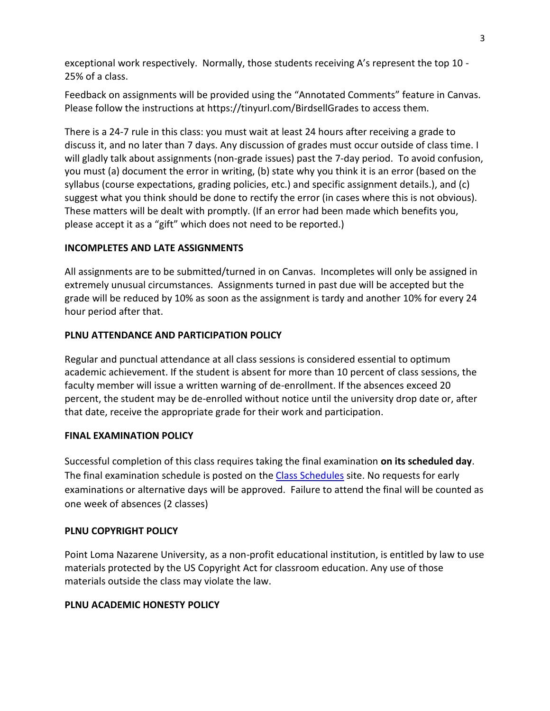exceptional work respectively. Normally, those students receiving A's represent the top 10 - 25% of a class.

Feedback on assignments will be provided using the "Annotated Comments" feature in Canvas. Please follow the instructions at https://tinyurl.com/BirdsellGrades to access them.

There is a 24-7 rule in this class: you must wait at least 24 hours after receiving a grade to discuss it, and no later than 7 days. Any discussion of grades must occur outside of class time. I will gladly talk about assignments (non-grade issues) past the 7-day period. To avoid confusion, you must (a) document the error in writing, (b) state why you think it is an error (based on the syllabus (course expectations, grading policies, etc.) and specific assignment details.), and (c) suggest what you think should be done to rectify the error (in cases where this is not obvious). These matters will be dealt with promptly. (If an error had been made which benefits you, please accept it as a "gift" which does not need to be reported.)

### **INCOMPLETES AND LATE ASSIGNMENTS**

All assignments are to be submitted/turned in on Canvas. Incompletes will only be assigned in extremely unusual circumstances. Assignments turned in past due will be accepted but the grade will be reduced by 10% as soon as the assignment is tardy and another 10% for every 24 hour period after that.

### **PLNU ATTENDANCE AND PARTICIPATION POLICY**

Regular and punctual attendance at all class sessions is considered essential to optimum academic achievement. If the student is absent for more than 10 percent of class sessions, the faculty member will issue a written warning of de-enrollment. If the absences exceed 20 percent, the student may be de-enrolled without notice until the university drop date or, after that date, receive the appropriate grade for their work and participation.

### **FINAL EXAMINATION POLICY**

Successful completion of this class requires taking the final examination **on its scheduled day**. The final examination schedule is posted on the [Class Schedules](http://www.pointloma.edu/experience/academics/class-schedules) site. No requests for early examinations or alternative days will be approved. Failure to attend the final will be counted as one week of absences (2 classes)

### **PLNU COPYRIGHT POLICY**

Point Loma Nazarene University, as a non-profit educational institution, is entitled by law to use materials protected by the US Copyright Act for classroom education. Any use of those materials outside the class may violate the law.

### **PLNU ACADEMIC HONESTY POLICY**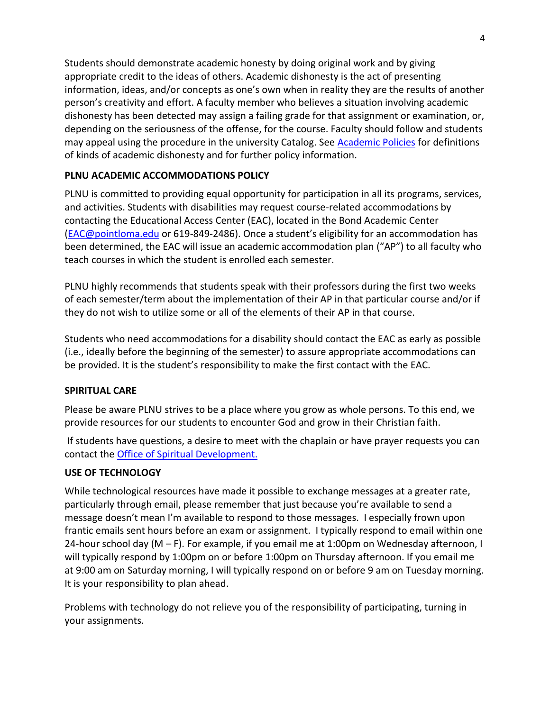Students should demonstrate academic honesty by doing original work and by giving appropriate credit to the ideas of others. Academic dishonesty is the act of presenting information, ideas, and/or concepts as one's own when in reality they are the results of another person's creativity and effort. A faculty member who believes a situation involving academic dishonesty has been detected may assign a failing grade for that assignment or examination, or, depending on the seriousness of the offense, for the course. Faculty should follow and students may appeal using the procedure in the university Catalog. See [Academic Policies](https://catalog.pointloma.edu/content.php?catoid=52&navoid=2919#Academic_Honesty) for definitions of kinds of academic dishonesty and for further policy information.

# **PLNU ACADEMIC ACCOMMODATIONS POLICY**

PLNU is committed to providing equal opportunity for participation in all its programs, services, and activities. Students with disabilities may request course-related accommodations by contacting the Educational Access Center (EAC), located in the Bond Academic Center [\(EAC@pointloma.edu](mailto:EAC@pointloma.edu) or 619-849-2486). Once a student's eligibility for an accommodation has been determined, the EAC will issue an academic accommodation plan ("AP") to all faculty who teach courses in which the student is enrolled each semester.

PLNU highly recommends that students speak with their professors during the first two weeks of each semester/term about the implementation of their AP in that particular course and/or if they do not wish to utilize some or all of the elements of their AP in that course.

Students who need accommodations for a disability should contact the EAC as early as possible (i.e., ideally before the beginning of the semester) to assure appropriate accommodations can be provided. It is the student's responsibility to make the first contact with the EAC.

### **SPIRITUAL CARE**

Please be aware PLNU strives to be a place where you grow as whole persons. To this end, we provide resources for our students to encounter God and grow in their Christian faith.

If students have questions, a desire to meet with the chaplain or have prayer requests you can contact the Office of Spiritual Development.

### **USE OF TECHNOLOGY**

While technological resources have made it possible to exchange messages at a greater rate, particularly through email, please remember that just because you're available to send a message doesn't mean I'm available to respond to those messages. I especially frown upon frantic emails sent hours before an exam or assignment. I typically respond to email within one 24-hour school day (M – F). For example, if you email me at 1:00pm on Wednesday afternoon, I will typically respond by 1:00pm on or before 1:00pm on Thursday afternoon. If you email me at 9:00 am on Saturday morning, I will typically respond on or before 9 am on Tuesday morning. It is your responsibility to plan ahead.

Problems with technology do not relieve you of the responsibility of participating, turning in your assignments.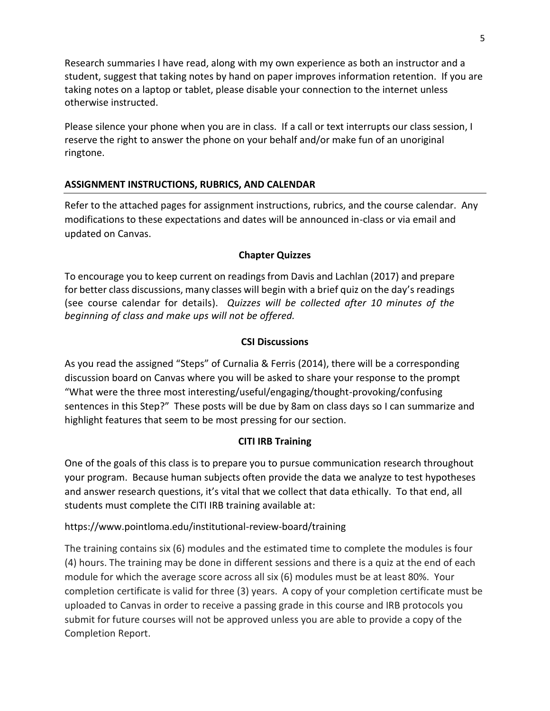Research summaries I have read, along with my own experience as both an instructor and a student, suggest that taking notes by hand on paper improves information retention. If you are taking notes on a laptop or tablet, please disable your connection to the internet unless otherwise instructed.

Please silence your phone when you are in class. If a call or text interrupts our class session, I reserve the right to answer the phone on your behalf and/or make fun of an unoriginal ringtone.

# **ASSIGNMENT INSTRUCTIONS, RUBRICS, AND CALENDAR**

Refer to the attached pages for assignment instructions, rubrics, and the course calendar. Any modifications to these expectations and dates will be announced in-class or via email and updated on Canvas.

# **Chapter Quizzes**

To encourage you to keep current on readings from Davis and Lachlan (2017) and prepare for better class discussions, many classes will begin with a brief quiz on the day's readings (see course calendar for details). *Quizzes will be collected after 10 minutes of the beginning of class and make ups will not be offered.*

### **CSI Discussions**

As you read the assigned "Steps" of Curnalia & Ferris (2014), there will be a corresponding discussion board on Canvas where you will be asked to share your response to the prompt "What were the three most interesting/useful/engaging/thought-provoking/confusing sentences in this Step?" These posts will be due by 8am on class days so I can summarize and highlight features that seem to be most pressing for our section.

# **CITI IRB Training**

One of the goals of this class is to prepare you to pursue communication research throughout your program. Because human subjects often provide the data we analyze to test hypotheses and answer research questions, it's vital that we collect that data ethically. To that end, all students must complete the CITI IRB training available at:

https://www.pointloma.edu/institutional-review-board/training

The training contains six (6) modules and the estimated time to complete the modules is four (4) hours. The training may be done in different sessions and there is a quiz at the end of each module for which the average score across all six (6) modules must be at least 80%. Your completion certificate is valid for three (3) years. A copy of your completion certificate must be uploaded to Canvas in order to receive a passing grade in this course and IRB protocols you submit for future courses will not be approved unless you are able to provide a copy of the Completion Report.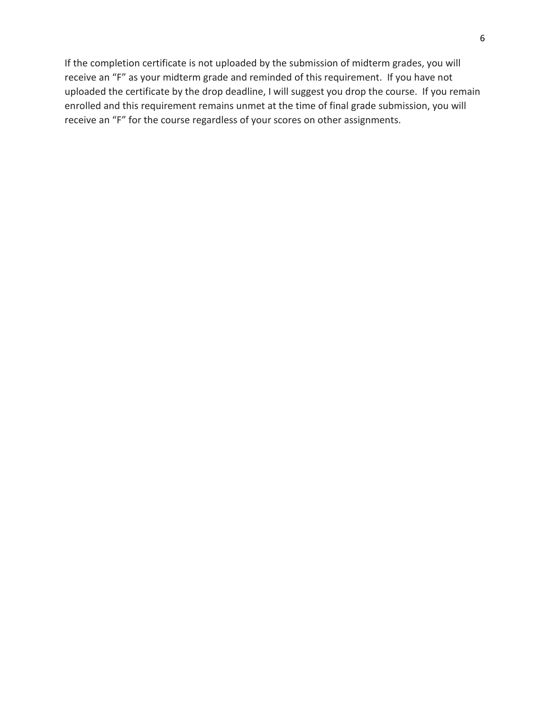If the completion certificate is not uploaded by the submission of midterm grades, you will receive an "F" as your midterm grade and reminded of this requirement. If you have not uploaded the certificate by the drop deadline, I will suggest you drop the course. If you remain enrolled and this requirement remains unmet at the time of final grade submission, you will receive an "F" for the course regardless of your scores on other assignments.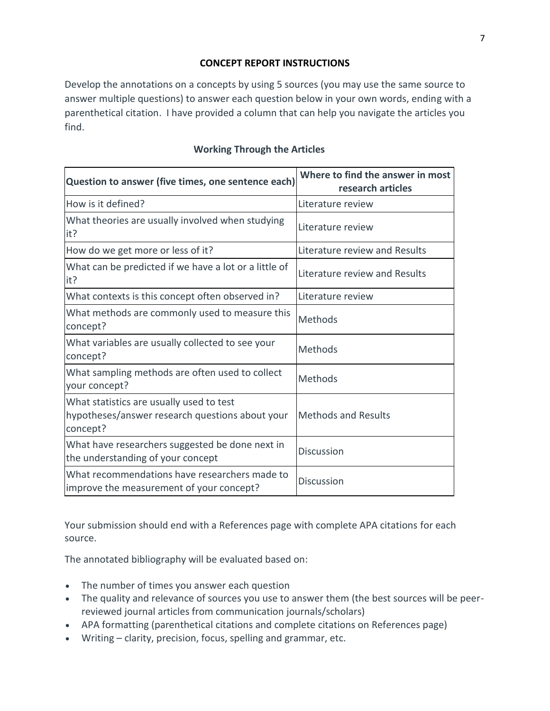### **CONCEPT REPORT INSTRUCTIONS**

Develop the annotations on a concepts by using 5 sources (you may use the same source to answer multiple questions) to answer each question below in your own words, ending with a parenthetical citation. I have provided a column that can help you navigate the articles you find.

### **Working Through the Articles**

| Question to answer (five times, one sentence each)                                                      | Where to find the answer in most<br>research articles |  |  |  |  |
|---------------------------------------------------------------------------------------------------------|-------------------------------------------------------|--|--|--|--|
| How is it defined?                                                                                      | Literature review                                     |  |  |  |  |
| What theories are usually involved when studying<br>it?                                                 | Literature review                                     |  |  |  |  |
| How do we get more or less of it?                                                                       | Literature review and Results                         |  |  |  |  |
| What can be predicted if we have a lot or a little of<br>it?                                            | Literature review and Results                         |  |  |  |  |
| What contexts is this concept often observed in?                                                        | Literature review                                     |  |  |  |  |
| What methods are commonly used to measure this<br>concept?                                              | Methods                                               |  |  |  |  |
| What variables are usually collected to see your<br>concept?                                            | Methods                                               |  |  |  |  |
| What sampling methods are often used to collect<br>your concept?                                        | Methods                                               |  |  |  |  |
| What statistics are usually used to test<br>hypotheses/answer research questions about your<br>concept? | <b>Methods and Results</b>                            |  |  |  |  |
| What have researchers suggested be done next in<br>the understanding of your concept                    | <b>Discussion</b>                                     |  |  |  |  |
| What recommendations have researchers made to<br>improve the measurement of your concept?               | <b>Discussion</b>                                     |  |  |  |  |

Your submission should end with a References page with complete APA citations for each source.

The annotated bibliography will be evaluated based on:

- The number of times you answer each question
- The quality and relevance of sources you use to answer them (the best sources will be peerreviewed journal articles from communication journals/scholars)
- APA formatting (parenthetical citations and complete citations on References page)
- Writing clarity, precision, focus, spelling and grammar, etc.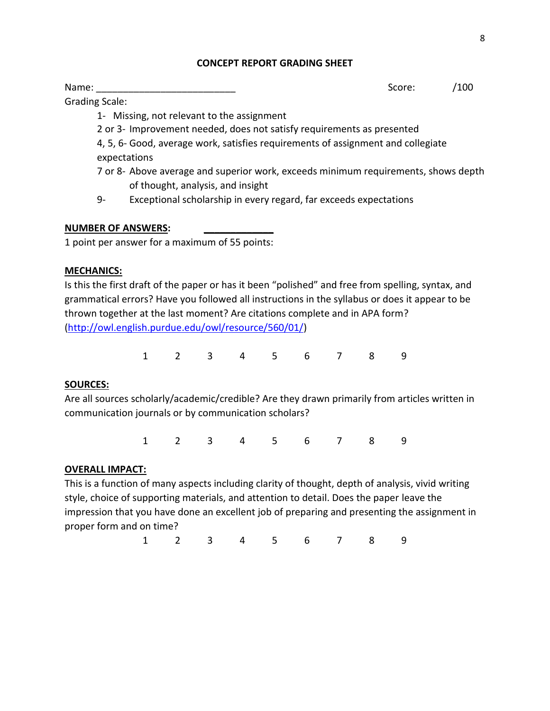#### **CONCEPT REPORT GRADING SHEET**

Grading Scale:

Name: \_\_\_\_\_\_\_\_\_\_\_\_\_\_\_\_\_\_\_\_\_\_\_\_\_\_ Score: /100

1- Missing, not relevant to the assignment

2 or 3- Improvement needed, does not satisfy requirements as presented

4, 5, 6- Good, average work, satisfies requirements of assignment and collegiate expectations

- 7 or 8- Above average and superior work, exceeds minimum requirements, shows depth of thought, analysis, and insight
- 9- Exceptional scholarship in every regard, far exceeds expectations

# **NUMBER OF ANSWERS: \_\_\_\_\_\_\_\_\_\_\_\_\_**

1 point per answer for a maximum of 55 points:

# **MECHANICS:**

Is this the first draft of the paper or has it been "polished" and free from spelling, syntax, and grammatical errors? Have you followed all instructions in the syllabus or does it appear to be thrown together at the last moment? Are citations complete and in APA form? [\(http://owl.english.purdue.edu/owl/resource/560/01/\)](http://owl.english.purdue.edu/owl/resource/560/01/)

1 2 3 4 5 6 7 8 9

# **SOURCES:**

Are all sources scholarly/academic/credible? Are they drawn primarily from articles written in communication journals or by communication scholars?

1 2 3 4 5 6 7 8 9

# **OVERALL IMPACT:**

This is a function of many aspects including clarity of thought, depth of analysis, vivid writing style, choice of supporting materials, and attention to detail. Does the paper leave the impression that you have done an excellent job of preparing and presenting the assignment in proper form and on time?

1 2 3 4 5 6 7 8 9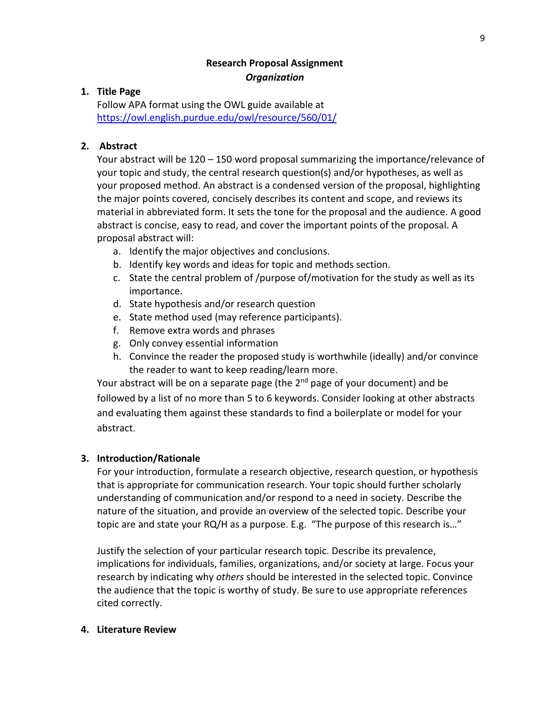# **Research Proposal Assignment** *Organization*

### **1. Title Page**

Follow APA format using the OWL guide available at <https://owl.english.purdue.edu/owl/resource/560/01/>

### **2. Abstract**

Your abstract will be 120 – 150 word proposal summarizing the importance/relevance of your topic and study, the central research question(s) and/or hypotheses, as well as your proposed method. An abstract is a condensed version of the proposal, highlighting the major points covered, concisely describes its content and scope, and reviews its material in abbreviated form. It sets the tone for the proposal and the audience. A good abstract is concise, easy to read, and cover the important points of the proposal. A proposal abstract will:

- a. Identify the major objectives and conclusions.
- b. Identify key words and ideas for topic and methods section.
- c. State the central problem of /purpose of/motivation for the study as well as its importance.
- d. State hypothesis and/or research question
- e. State method used (may reference participants).
- f. Remove extra words and phrases
- g. Only convey essential information
- h. Convince the reader the proposed study is worthwhile (ideally) and/or convince the reader to want to keep reading/learn more.

Your abstract will be on a separate page (the 2<sup>nd</sup> page of your document) and be followed by a list of no more than 5 to 6 keywords. Consider looking at other abstracts and evaluating them against these standards to find a boilerplate or model for your abstract.

# **3. Introduction/Rationale**

For your introduction, formulate a research objective, research question, or hypothesis that is appropriate for communication research. Your topic should further scholarly understanding of communication and/or respond to a need in society. Describe the nature of the situation, and provide an overview of the selected topic. Describe your topic are and state your RQ/H as a purpose. E.g. "The purpose of this research is…"

Justify the selection of your particular research topic. Describe its prevalence, implications for individuals, families, organizations, and/or society at large. Focus your research by indicating why *others* should be interested in the selected topic. Convince the audience that the topic is worthy of study. Be sure to use appropriate references cited correctly.

### **4. Literature Review**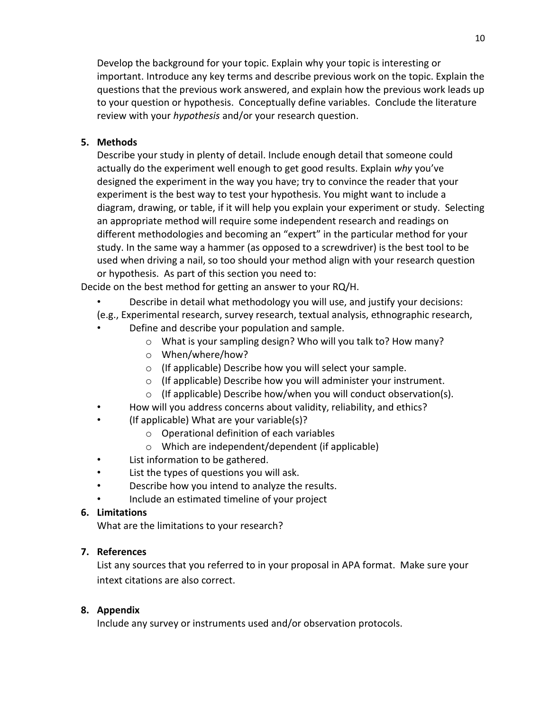Develop the background for your topic. Explain why your topic is interesting or important. Introduce any key terms and describe previous work on the topic. Explain the questions that the previous work answered, and explain how the previous work leads up to your question or hypothesis. Conceptually define variables. Conclude the literature review with your *hypothesis* and/or your research question.

# **5. Methods**

Describe your study in plenty of detail. Include enough detail that someone could actually do the experiment well enough to get good results. Explain *why* you've designed the experiment in the way you have; try to convince the reader that your experiment is the best way to test your hypothesis. You might want to include a diagram, drawing, or table, if it will help you explain your experiment or study. Selecting an appropriate method will require some independent research and readings on different methodologies and becoming an "expert" in the particular method for your study. In the same way a hammer (as opposed to a screwdriver) is the best tool to be used when driving a nail, so too should your method align with your research question or hypothesis. As part of this section you need to:

Decide on the best method for getting an answer to your RQ/H.

- Describe in detail what methodology you will use, and justify your decisions:
- (e.g., Experimental research, survey research, textual analysis, ethnographic research,
- Define and describe your population and sample.
	- o What is your sampling design? Who will you talk to? How many?
	- o When/where/how?
	- o (If applicable) Describe how you will select your sample.
	- o (If applicable) Describe how you will administer your instrument.
	- o (If applicable) Describe how/when you will conduct observation(s).
- How will you address concerns about validity, reliability, and ethics?
- (If applicable) What are your variable(s)?
	- o Operational definition of each variables
	- o Which are independent/dependent (if applicable)
- List information to be gathered.
- List the types of questions you will ask.
- Describe how you intend to analyze the results.
- Include an estimated timeline of your project

# **6. Limitations**

What are the limitations to your research?

# **7. References**

List any sources that you referred to in your proposal in APA format. Make sure your intext citations are also correct.

# **8. Appendix**

Include any survey or instruments used and/or observation protocols.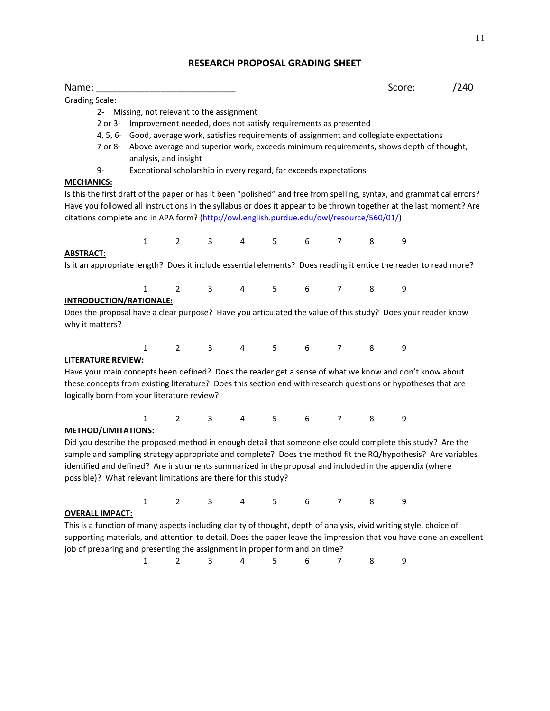#### **RESEARCH PROPOSAL GRADING SHEET**

| Name:                                                                                                                  |                                                                        |                                                                   |                |                |             |                 |                |   | Score:                                                                                         | /240 |
|------------------------------------------------------------------------------------------------------------------------|------------------------------------------------------------------------|-------------------------------------------------------------------|----------------|----------------|-------------|-----------------|----------------|---|------------------------------------------------------------------------------------------------|------|
| <b>Grading Scale:</b>                                                                                                  |                                                                        |                                                                   |                |                |             |                 |                |   |                                                                                                |      |
|                                                                                                                        | 2- Missing, not relevant to the assignment                             |                                                                   |                |                |             |                 |                |   |                                                                                                |      |
|                                                                                                                        | 2 or 3- Improvement needed, does not satisfy requirements as presented |                                                                   |                |                |             |                 |                |   |                                                                                                |      |
|                                                                                                                        |                                                                        |                                                                   |                |                |             |                 |                |   | 4, 5, 6- Good, average work, satisfies requirements of assignment and collegiate expectations  |      |
|                                                                                                                        |                                                                        |                                                                   |                |                |             |                 |                |   | 7 or 8- Above average and superior work, exceeds minimum requirements, shows depth of thought, |      |
|                                                                                                                        |                                                                        | analysis, and insight                                             |                |                |             |                 |                |   |                                                                                                |      |
| 9-                                                                                                                     |                                                                        | Exceptional scholarship in every regard, far exceeds expectations |                |                |             |                 |                |   |                                                                                                |      |
| <b>MECHANICS:</b>                                                                                                      |                                                                        |                                                                   |                |                |             |                 |                |   |                                                                                                |      |
| Is this the first draft of the paper or has it been "polished" and free from spelling, syntax, and grammatical errors? |                                                                        |                                                                   |                |                |             |                 |                |   |                                                                                                |      |
| Have you followed all instructions in the syllabus or does it appear to be thrown together at the last moment? Are     |                                                                        |                                                                   |                |                |             |                 |                |   |                                                                                                |      |
| citations complete and in APA form? (http://owl.english.purdue.edu/owl/resource/560/01/)                               |                                                                        |                                                                   |                |                |             |                 |                |   |                                                                                                |      |
|                                                                                                                        |                                                                        |                                                                   |                |                |             |                 |                |   |                                                                                                |      |
|                                                                                                                        | $\mathbf{1}$                                                           | $\overline{2}$                                                    | $3^{\circ}$    | $\overline{4}$ | $5 - 5$     | 6               | $\overline{7}$ | 8 | 9                                                                                              |      |
| <b>ABSTRACT:</b>                                                                                                       |                                                                        |                                                                   |                |                |             |                 |                |   |                                                                                                |      |
| Is it an appropriate length? Does it include essential elements? Does reading it entice the reader to read more?       |                                                                        |                                                                   |                |                |             |                 |                |   |                                                                                                |      |
|                                                                                                                        |                                                                        |                                                                   |                |                |             |                 |                |   |                                                                                                |      |
|                                                                                                                        | $\mathbf{1}$                                                           | $\overline{2}$                                                    | 3 <sup>7</sup> |                | $4 \quad 5$ | $6\overline{)}$ | $\overline{7}$ | 8 | 9                                                                                              |      |
| <b>INTRODUCTION/RATIONALE:</b>                                                                                         |                                                                        |                                                                   |                |                |             |                 |                |   |                                                                                                |      |
| Does the proposal have a clear purpose? Have you articulated the value of this study? Does your reader know            |                                                                        |                                                                   |                |                |             |                 |                |   |                                                                                                |      |
| why it matters?                                                                                                        |                                                                        |                                                                   |                |                |             |                 |                |   |                                                                                                |      |
|                                                                                                                        |                                                                        |                                                                   |                |                |             |                 |                |   |                                                                                                |      |
|                                                                                                                        | $\mathbf{1}$                                                           | $2^{\circ}$                                                       | 3 <sup>7</sup> |                |             | 4 5 6 7 8       |                |   | 9                                                                                              |      |
| <b>LITERATURE REVIEW:</b>                                                                                              |                                                                        |                                                                   |                |                |             |                 |                |   |                                                                                                |      |
| Have your main concepts been defined? Does the reader get a sense of what we know and don't know about                 |                                                                        |                                                                   |                |                |             |                 |                |   |                                                                                                |      |
| these concepts from existing literature? Does this section end with research questions or hypotheses that are          |                                                                        |                                                                   |                |                |             |                 |                |   |                                                                                                |      |
| logically born from your literature review?                                                                            |                                                                        |                                                                   |                |                |             |                 |                |   |                                                                                                |      |
|                                                                                                                        |                                                                        |                                                                   |                |                |             |                 |                |   |                                                                                                |      |
|                                                                                                                        | $\mathbf{1}$                                                           | $\overline{2}$                                                    | 3 <sup>7</sup> | $4\qquad 5$    |             |                 | $6\qquad 7$    | 8 | 9                                                                                              |      |
| <b>METHOD/LIMITATIONS:</b>                                                                                             |                                                                        |                                                                   |                |                |             |                 |                |   |                                                                                                |      |
| Did you describe the proposed method in enough detail that someone else could complete this study? Are the             |                                                                        |                                                                   |                |                |             |                 |                |   |                                                                                                |      |
| sample and sampling strategy appropriate and complete? Does the method fit the RQ/hypothesis? Are variables            |                                                                        |                                                                   |                |                |             |                 |                |   |                                                                                                |      |
| identified and defined? Are instruments summarized in the proposal and included in the appendix (where                 |                                                                        |                                                                   |                |                |             |                 |                |   |                                                                                                |      |
| possible)? What relevant limitations are there for this study?                                                         |                                                                        |                                                                   |                |                |             |                 |                |   |                                                                                                |      |
|                                                                                                                        |                                                                        |                                                                   |                |                |             |                 |                |   |                                                                                                |      |
|                                                                                                                        | 1                                                                      | 2                                                                 | 3              | 4              | 5           | 6               | 7              | 8 | 9                                                                                              |      |
| <b>OVERALL IMPACT:</b>                                                                                                 |                                                                        |                                                                   |                |                |             |                 |                |   |                                                                                                |      |
| This is a function of many aspects including clarity of thought, depth of analysis, vivid writing style, choice of     |                                                                        |                                                                   |                |                |             |                 |                |   |                                                                                                |      |
| supporting materials, and attention to detail. Does the paper leave the impression that you have done an excellent     |                                                                        |                                                                   |                |                |             |                 |                |   |                                                                                                |      |
| job of preparing and presenting the assignment in proper form and on time?                                             |                                                                        |                                                                   |                |                |             |                 |                |   |                                                                                                |      |
|                                                                                                                        | 1                                                                      | 2                                                                 | 3              | $\overline{4}$ | 5           | 6               | 7              | 8 | 9                                                                                              |      |
|                                                                                                                        |                                                                        |                                                                   |                |                |             |                 |                |   |                                                                                                |      |
|                                                                                                                        |                                                                        |                                                                   |                |                |             |                 |                |   |                                                                                                |      |